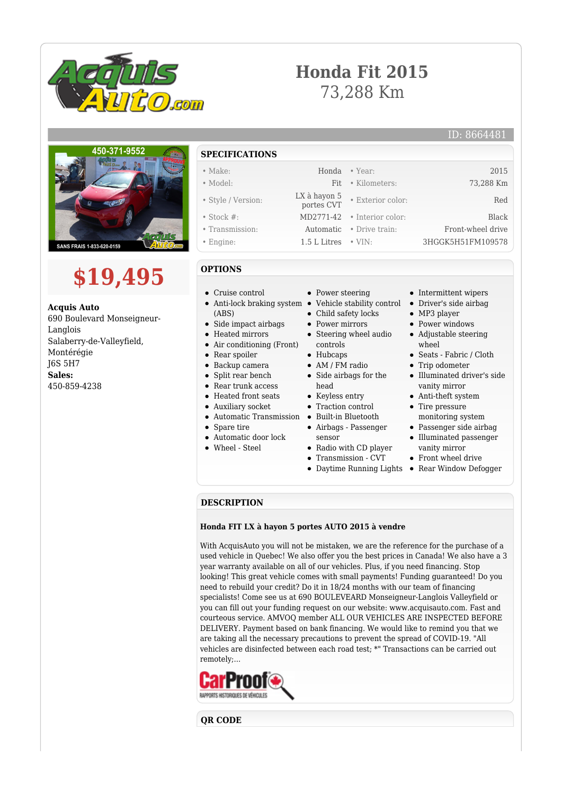

# **Honda Fit 2015** 73,288 Km

## ID: 8664481





**Acquis Auto** 690 Boulevard Monseigneur-Langlois Salaberry-de-Valleyfield, Montérégie J6S 5H7 **Sales:** 450-859-4238

- **SPECIFICATIONS**
- Make: Honda Year: 2015 • Model: Fit • Kilometers: 73,288 Km • Style / Version: LX à hayon 5 • Exterior color: Red • Stock #: MD2771-42 • Interior color: Black • Transmission: Automatic • Drive train: Front-wheel drive • Engine: 1.5 L Litres • VIN: 3HGGK5H51FM109578
- 

## **OPTIONS**

- Cruise control
- (ABS)
- Side impact airbags
- Heated mirrors  $\bullet$
- Air conditioning (Front)
- Rear spoiler  $\bullet$
- Backup camera
- Split rear bench  $\bullet$
- $\bullet$ Rear trunk access
- Heated front seats
- Auxiliary socket
- $\blacksquare$
- Spare tire  $\bullet$
- Automatic door lock
- Wheel Steel
- Power steering
- Anti-lock braking system Vehicle stability control
	- Child safety locks
	- Power mirrors
	- Steering wheel audio controls
	- Hubcaps
	- AM / FM radio
	- Side airbags for the head
	- Keyless entry
	- Traction control
- Automatic Transmission Built-in Bluetooth
	- Airbags Passenger
	- sensor Radio with CD player
	- Transmission CVT
		-
		-
- Intermittent wipers
- Driver's side airbag
- MP3 player
- Power windows
- Adjustable steering wheel
- Seats Fabric / Cloth
- Trip odometer
- Illuminated driver's side vanity mirror
- Anti-theft system
- Tire pressure monitoring system
- Passenger side airbag Illuminated passenger
- vanity mirror
- Front wheel drive
- Daytime Running Lights Rear Window Defogger

#### **DESCRIPTION**

#### **Honda FIT LX à hayon 5 portes AUTO 2015 à vendre**

With AcquisAuto you will not be mistaken, we are the reference for the purchase of a used vehicle in Quebec! We also offer you the best prices in Canada! We also have a 3 year warranty available on all of our vehicles. Plus, if you need financing. Stop looking! This great vehicle comes with small payments! Funding guaranteed! Do you need to rebuild your credit? Do it in 18/24 months with our team of financing specialists! Come see us at 690 BOULEVEARD Monseigneur-Langlois Valleyfield or you can fill out your funding request on our website: www.acquisauto.com. Fast and courteous service. AMVOQ member ALL OUR VEHICLES ARE INSPECTED BEFORE DELIVERY. Payment based on bank financing. We would like to remind you that we are taking all the necessary precautions to prevent the spread of COVID-19. "All vehicles are disinfected between each road test; \*" Transactions can be carried out remotely;...



**QR CODE**